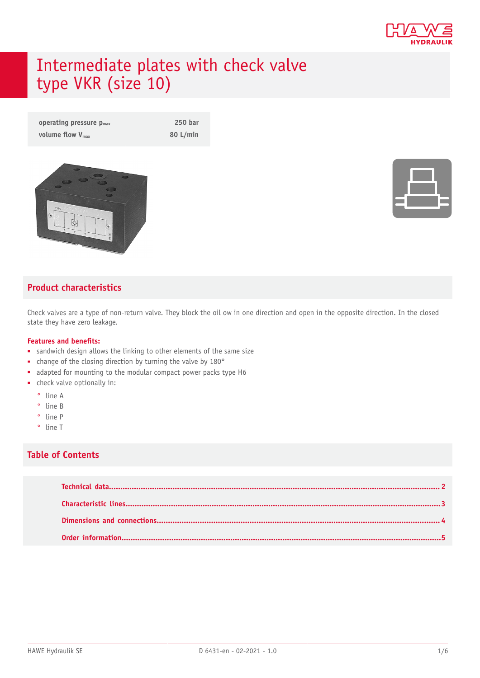

# Intermediate plates with check valve type VKR (size 10)

**operating pressure pmax 250 bar volume flow**  $V_{\text{max}}$  **80 L/min** 



### **Product characteristics**

Check valves are a type of non-return valve. They block the oil ow in one direction and open in the opposite direction. In the closed state they have zero leakage.

#### **Features and benets:**

- sandwich design allows the linking to other elements of the same size
- change of the closing direction by turning the valve by 180°
- adapted for mounting to the modular compact power packs type H6
- check valve optionally in:
	- ° line A
	- ° line B
	- ° line P
	- ° line T

### **Table of Contents**

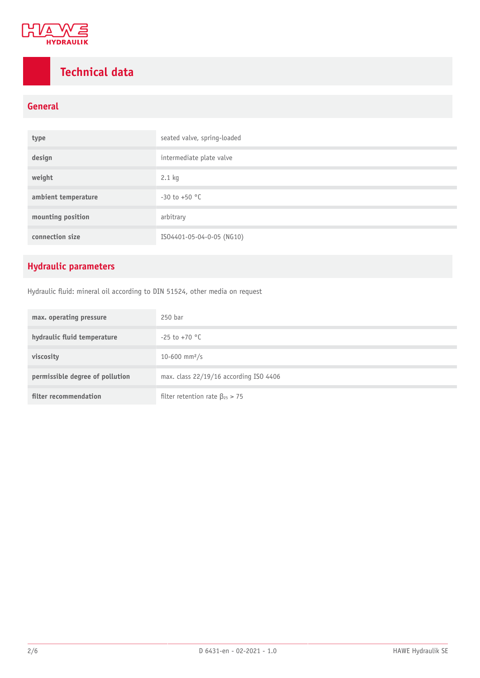

# <span id="page-1-0"></span>**Technical data**

### **General**

| type                | seated valve, spring-loaded |  |  |  |  |
|---------------------|-----------------------------|--|--|--|--|
| design              | intermediate plate valve    |  |  |  |  |
| weight              | $2.1$ kg                    |  |  |  |  |
| ambient temperature | $-30$ to $+50$ °C           |  |  |  |  |
| mounting position   | arbitrary                   |  |  |  |  |
| connection size     | IS04401-05-04-0-05 (NG10)   |  |  |  |  |

### **Hydraulic parameters**

Hydraulic fluid: mineral oil according to DIN 51524, other media on request

| max. operating pressure         | 250 bar                                 |
|---------------------------------|-----------------------------------------|
| hydraulic fluid temperature     | $-25$ to $+70$ °C                       |
| viscosity                       | $10 - 600$ mm <sup>2</sup> /s           |
| permissible degree of pollution | max. class 22/19/16 according ISO 4406  |
| filter recommendation           | filter retention rate $\beta_{25} > 75$ |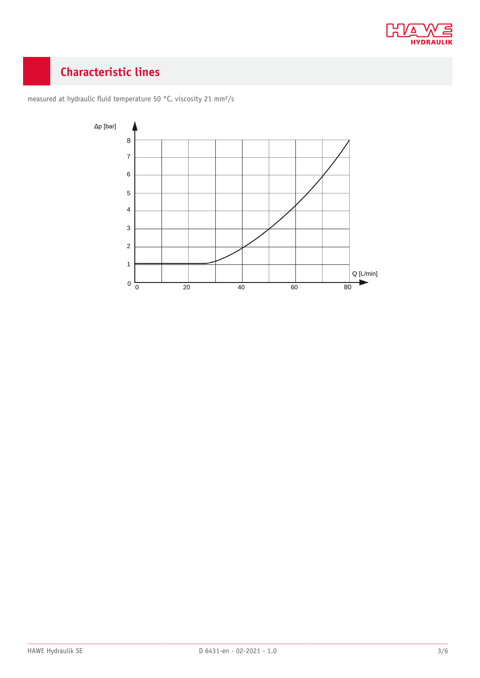

# <span id="page-2-0"></span>**Characteristic lines**



measured at hydraulic fluid temperature 50 °C, viscosity 21 mm<sup>2</sup>/s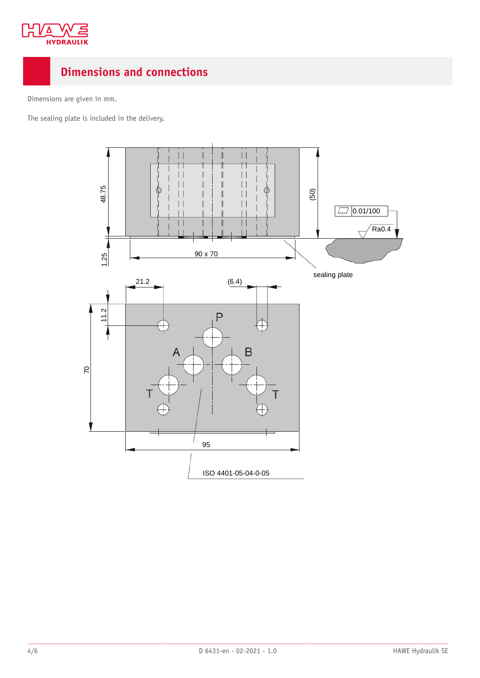

## <span id="page-3-0"></span>**Dimensions and connections**

Dimensions are given in mm.

The sealing plate is included in the delivery.

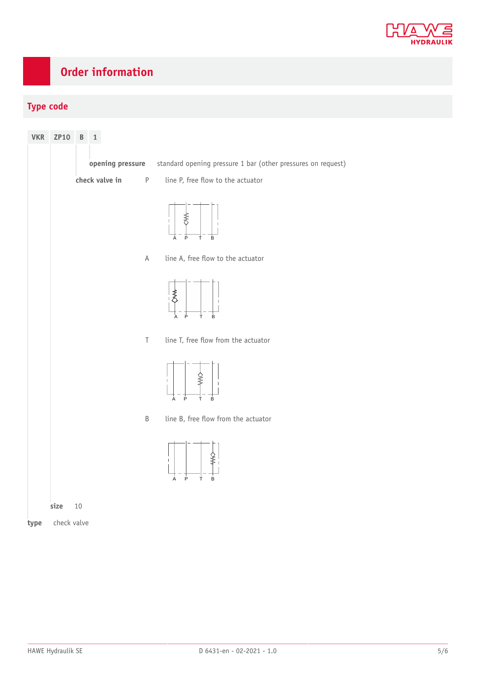

# <span id="page-4-0"></span>**Order information**

### **Type code**

| <b>VKR</b> | <b>ZP10</b> | $\mathsf B$ | 1 |                  |             |                                                              |
|------------|-------------|-------------|---|------------------|-------------|--------------------------------------------------------------|
|            |             |             |   | opening pressure |             | standard opening pressure 1 bar (other pressures on request) |
|            |             |             |   | check valve in   | $\sf P$     | line P, free flow to the actuator                            |
|            |             |             |   |                  |             | ≸<br>þ<br>B<br>Ť<br>Α                                        |
|            |             |             |   |                  | $\mathsf A$ | line A, free flow to the actuator                            |
|            |             |             |   |                  |             | €<br>$\frac{1}{P}$<br>$\overline{B}$<br>$\overline{A}$<br>T  |
|            |             |             |   |                  | $\top$      | line T, free flow from the actuator                          |
|            |             |             |   |                  |             | ≸<br>$\mathsf I$<br>$\bar{P}$<br>B.<br>À<br>T                |
|            |             |             |   |                  | $\sf B$     | line B, free flow from the actuator                          |
|            |             |             |   |                  |             | $\overline{\phantom{a}}$<br>$\dot{P}$<br>Α<br>В<br>т         |
|            | size        | 10          |   |                  |             |                                                              |
| type       | check valve |             |   |                  |             |                                                              |